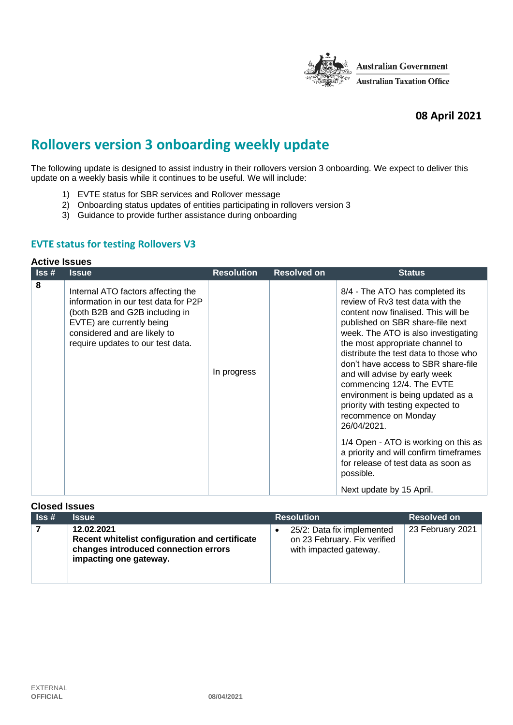

# **08 April 2021**

# **Rollovers version 3 onboarding weekly update**

The following update is designed to assist industry in their rollovers version 3 onboarding. We expect to deliver this update on a weekly basis while it continues to be useful. We will include:

- 1) EVTE status for SBR services and Rollover message
- 2) Onboarding status updates of entities participating in rollovers version 3
- 3) Guidance to provide further assistance during onboarding

## **EVTE status for testing Rollovers V3**

#### **Active Issues**

| $\overline{\mathsf{I}}$ ss# | <b>Issue</b>                                                                                                                                                                                                   | <b>Resolution</b> | <b>Resolved on</b> | <b>Status</b>                                                                                                                                                                                                                                                                                                                                                                                                                                                                                                                                                                                                                                             |
|-----------------------------|----------------------------------------------------------------------------------------------------------------------------------------------------------------------------------------------------------------|-------------------|--------------------|-----------------------------------------------------------------------------------------------------------------------------------------------------------------------------------------------------------------------------------------------------------------------------------------------------------------------------------------------------------------------------------------------------------------------------------------------------------------------------------------------------------------------------------------------------------------------------------------------------------------------------------------------------------|
| 8                           | Internal ATO factors affecting the<br>information in our test data for P2P<br>(both B2B and G2B including in<br>EVTE) are currently being<br>considered and are likely to<br>require updates to our test data. | In progress       |                    | 8/4 - The ATO has completed its<br>review of Rv3 test data with the<br>content now finalised. This will be<br>published on SBR share-file next<br>week. The ATO is also investigating<br>the most appropriate channel to<br>distribute the test data to those who<br>don't have access to SBR share-file<br>and will advise by early week<br>commencing 12/4. The EVTE<br>environment is being updated as a<br>priority with testing expected to<br>recommence on Monday<br>26/04/2021.<br>1/4 Open - ATO is working on this as<br>a priority and will confirm timeframes<br>for release of test data as soon as<br>possible.<br>Next update by 15 April. |

| <b>Closed Issues</b>        |                                                                                                                                |                                                                                      |                    |
|-----------------------------|--------------------------------------------------------------------------------------------------------------------------------|--------------------------------------------------------------------------------------|--------------------|
| $\textsf{lss}\,\texttt{\#}$ | <b>Issue</b>                                                                                                                   | <b>Resolution</b>                                                                    | <b>Resolved on</b> |
|                             | 12.02.2021<br>Recent whitelist configuration and certificate<br>changes introduced connection errors<br>impacting one gateway. | 25/2: Data fix implemented<br>on 23 February. Fix verified<br>with impacted gateway. | 23 February 2021   |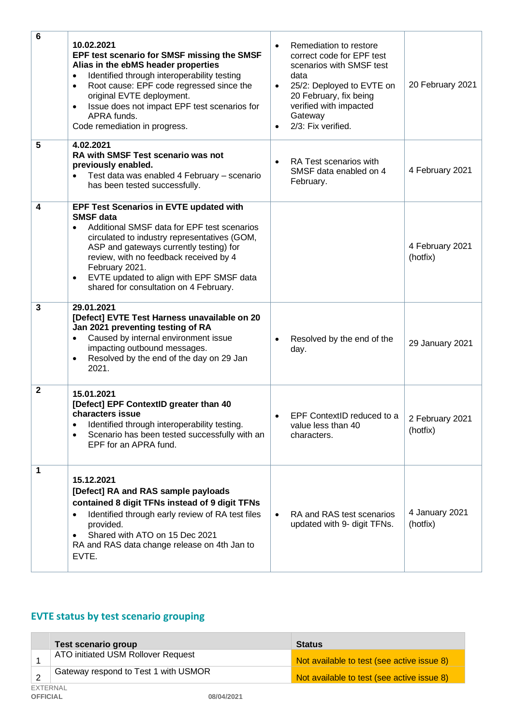| $\bf 6$      | 10.02.2021<br>EPF test scenario for SMSF missing the SMSF<br>Alias in the ebMS header properties<br>Identified through interoperability testing<br>$\bullet$<br>Root cause: EPF code regressed since the<br>٠<br>original EVTE deployment.<br>Issue does not impact EPF test scenarios for<br>٠<br>APRA funds.<br>Code remediation in progress.                                          | Remediation to restore<br>correct code for EPF test<br>scenarios with SMSF test<br>data<br>25/2: Deployed to EVTE on<br>$\bullet$<br>20 February, fix being<br>verified with impacted<br>Gateway<br>2/3: Fix verified. | 20 February 2021            |
|--------------|------------------------------------------------------------------------------------------------------------------------------------------------------------------------------------------------------------------------------------------------------------------------------------------------------------------------------------------------------------------------------------------|------------------------------------------------------------------------------------------------------------------------------------------------------------------------------------------------------------------------|-----------------------------|
| 5            | 4.02.2021<br>RA with SMSF Test scenario was not<br>previously enabled.<br>Test data was enabled 4 February - scenario<br>has been tested successfully.                                                                                                                                                                                                                                   | RA Test scenarios with<br>$\bullet$<br>SMSF data enabled on 4<br>February.                                                                                                                                             | 4 February 2021             |
| 4            | <b>EPF Test Scenarios in EVTE updated with</b><br><b>SMSF</b> data<br>Additional SMSF data for EPF test scenarios<br>$\bullet$<br>circulated to industry representatives (GOM,<br>ASP and gateways currently testing) for<br>review, with no feedback received by 4<br>February 2021.<br>EVTE updated to align with EPF SMSF data<br>$\bullet$<br>shared for consultation on 4 February. |                                                                                                                                                                                                                        | 4 February 2021<br>(hotfix) |
| $\mathbf{3}$ | 29.01.2021<br>[Defect] EVTE Test Harness unavailable on 20<br>Jan 2021 preventing testing of RA<br>Caused by internal environment issue<br>$\bullet$<br>impacting outbound messages.<br>Resolved by the end of the day on 29 Jan<br>$\bullet$<br>2021.                                                                                                                                   | Resolved by the end of the<br>$\bullet$<br>day.                                                                                                                                                                        | 29 January 2021             |
| $\mathbf{2}$ | 15.01.2021<br>[Defect] EPF ContextID greater than 40<br>characters issue<br>Identified through interoperability testing.<br>٠<br>Scenario has been tested successfully with an<br>٠<br>EPF for an APRA fund.                                                                                                                                                                             | EPF ContextID reduced to a $\vert$ 2 February 2021<br>value less than 40<br>characters.                                                                                                                                | (hotfix)                    |
| 1            | 15.12.2021<br>[Defect] RA and RAS sample payloads<br>contained 8 digit TFNs instead of 9 digit TFNs<br>Identified through early review of RA test files<br>$\bullet$<br>provided.<br>Shared with ATO on 15 Dec 2021<br>$\bullet$<br>RA and RAS data change release on 4th Jan to<br>EVTE.                                                                                                | RA and RAS test scenarios<br>updated with 9- digit TFNs.                                                                                                                                                               | 4 January 2021<br>(hotfix)  |

# **EVTE status by test scenario grouping**

|                             | <b>Test scenario group</b>           |            | <b>Status</b>                              |
|-----------------------------|--------------------------------------|------------|--------------------------------------------|
|                             | ATO initiated USM Rollover Request   |            | Not available to test (see active issue 8) |
|                             | Gateway respond to Test 1 with USMOR |            | Not available to test (see active issue 8) |
| EXTERNAL<br><b>OFFICIAL</b> |                                      | 08/04/2021 |                                            |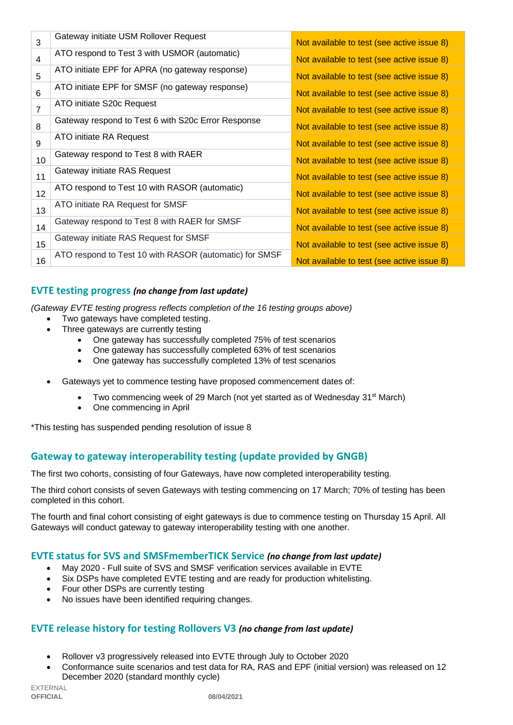| 3              | Gateway initiate USM Rollover Request                  | Not available to test (see active issue 8) |
|----------------|--------------------------------------------------------|--------------------------------------------|
| 4              | ATO respond to Test 3 with USMOR (automatic)           | Not available to test (see active issue 8) |
| 5              | ATO initiate EPF for APRA (no gateway response)        | Not available to test (see active issue 8) |
| 6              | ATO initiate EPF for SMSF (no gateway response)        | Not available to test (see active issue 8) |
| $\overline{7}$ | ATO initiate S20c Request                              | Not available to test (see active issue 8) |
| 8              | Gateway respond to Test 6 with S20c Error Response     | Not available to test (see active issue 8) |
| 9              | ATO initiate RA Request                                | Not available to test (see active issue 8) |
| 10             | Gateway respond to Test 8 with RAER                    | Not available to test (see active issue 8) |
| 11             | Gateway initiate RAS Request                           | Not available to test (see active issue 8) |
| 12             | ATO respond to Test 10 with RASOR (automatic)          | Not available to test (see active issue 8) |
| 13             | ATO initiate RA Request for SMSF                       | Not available to test (see active issue 8) |
| 14             | Gateway respond to Test 8 with RAER for SMSF           | Not available to test (see active issue 8) |
| 15             | Gateway initiate RAS Request for SMSF                  | Not available to test (see active issue 8) |
| 16             | ATO respond to Test 10 with RASOR (automatic) for SMSF | Not available to test (see active issue 8) |

# **EVTE testing progress** *(no change from last update)*

*(Gateway EVTE testing progress reflects completion of the 16 testing groups above)*

- Two gateways have completed testing.
- Three gateways are currently testing
	- One gateway has successfully completed 75% of test scenarios
	- One gateway has successfully completed 63% of test scenarios
	- One gateway has successfully completed 13% of test scenarios
- Gateways yet to commence testing have proposed commencement dates of:
	- Two commencing week of 29 March (not yet started as of Wednesday 31<sup>st</sup> March)
	- One commencing in April

\*This testing has suspended pending resolution of issue 8

# **Gateway to gateway interoperability testing (update provided by GNGB)**

The first two cohorts, consisting of four Gateways, have now completed interoperability testing.

The third cohort consists of seven Gateways with testing commencing on 17 March; 70% of testing has been completed in this cohort.

The fourth and final cohort consisting of eight gateways is due to commence testing on Thursday 15 April. All Gateways will conduct gateway to gateway interoperability testing with one another.

### **EVTE status for SVS and SMSFmemberTICK Service** *(no change from last update)*

- May 2020 Full suite of SVS and SMSF verification services available in EVTE
- Six DSPs have completed EVTE testing and are ready for production whitelisting.
- Four other DSPs are currently testing
- No issues have been identified requiring changes.

# **EVTE release history for testing Rollovers V3** *(no change from last update)*

- Rollover v3 progressively released into EVTE through July to October 2020
- Conformance suite scenarios and test data for RA, RAS and EPF (initial version) was released on 12 December 2020 (standard monthly cycle)